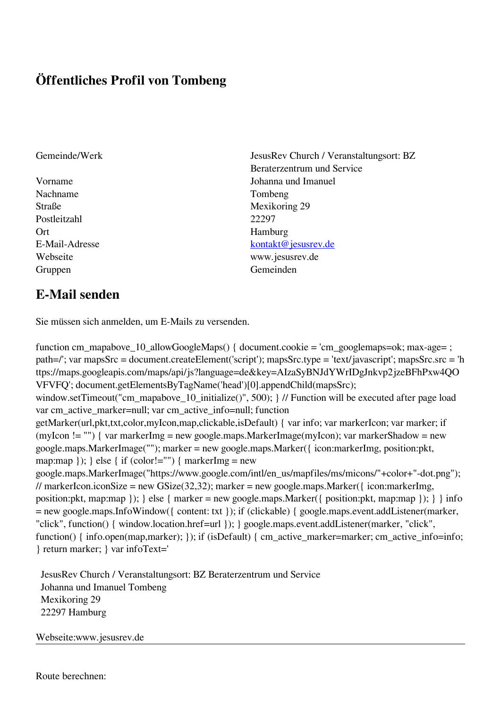## **Öffentliches Profil von Tombeng**

- Nachname Tombeng Straße Mexikoring 29 Postleitzahl 22297 Ort Hamburg Gruppen Gemeinden Gemeinden Gemeinden Gemeinden Gemeinden Gemeinden Gemeinden Gemeinden Gemeinden Gemeinden G
- Gemeinde/Werk JesusRev Church / Veranstaltungsort: BZ Beraterzentrum und Service Vorname Johanna und Imanuel E-Mail-Adresse [kontakt@jesusrev.de](mailto:kontakt@jesusrev.de) Webseite www.jesusrev.de

## **E-Mail senden**

Sie müssen sich anmelden, um E-Mails zu versenden.

function cm\_mapabove\_10\_allowGoogleMaps() { document.cookie = 'cm\_googlemaps=ok; max-age= ; path=/'; var mapsSrc = document.createElement('script'); mapsSrc.type = 'text/javascript'; mapsSrc.src = 'h ttps://maps.googleapis.com/maps/api/js?language=de&key=AIzaSyBNJdYWrIDgJnkvp2jzeBFhPxw4QO VFVFQ'; document.getElementsByTagName('head')[0].appendChild(mapsSrc); window.setTimeout("cm\_mapabove\_10\_initialize()", 500); } // Function will be executed after page load var cm\_active\_marker=null; var cm\_active\_info=null; function getMarker(url,pkt,txt,color,myIcon,map,clickable,isDefault) { var info; var markerIcon; var marker; if (myIcon != "") { var markerImg = new google.maps.MarkerImage(myIcon); var markerShadow = new google.maps.MarkerImage(""); marker = new google.maps.Marker({ icon:markerImg, position:pkt, map:map  $\}$ ;  $\}$  else  $\{$  if (color!="")  $\{$  markerImg = new google.maps.MarkerImage("https://www.google.com/intl/en\_us/mapfiles/ms/micons/"+color+"-dot.png"); // markerIcon.iconSize = new GSize(32,32); marker = new google.maps.Marker({ $i$ con:markerImg, position:pkt, map:map }); } else { marker = new google.maps.Marker({ position:pkt, map:map }); } } info = new google.maps.InfoWindow({ content: txt }); if (clickable) { google.maps.event.addListener(marker, "click", function() { window.location.href=url }); } google.maps.event.addListener(marker, "click", function() { info.open(map,marker); }); if (isDefault) { cm\_active\_marker=marker; cm\_active\_info=info; } return marker; } var infoText='

 JesusRev Church / Veranstaltungsort: BZ Beraterzentrum und Service Johanna und Imanuel Tombeng Mexikoring 29 22297 Hamburg

Webseite:www.jesusrev.de